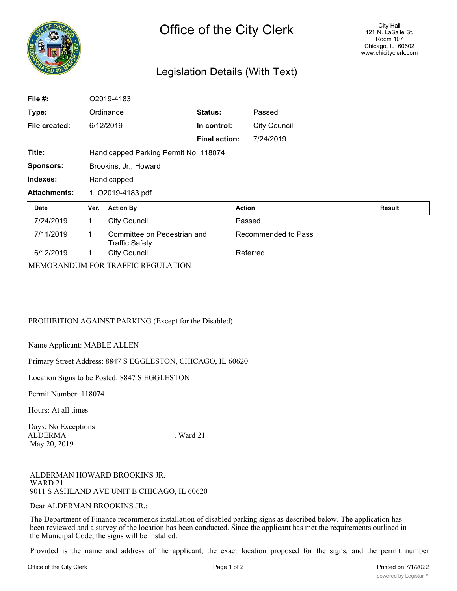

## Legislation Details (With Text)

| File #:             | O2019-4183                            |                                                      |                      |                     |               |
|---------------------|---------------------------------------|------------------------------------------------------|----------------------|---------------------|---------------|
| Type:               |                                       | Ordinance                                            | Status:              | Passed              |               |
| File created:       |                                       | 6/12/2019                                            | In control:          | <b>City Council</b> |               |
|                     |                                       |                                                      | <b>Final action:</b> | 7/24/2019           |               |
| Title:              | Handicapped Parking Permit No. 118074 |                                                      |                      |                     |               |
| <b>Sponsors:</b>    | Brookins, Jr., Howard                 |                                                      |                      |                     |               |
| Indexes:            | Handicapped                           |                                                      |                      |                     |               |
| <b>Attachments:</b> | 1. O2019-4183.pdf                     |                                                      |                      |                     |               |
| Date                | Ver.                                  | <b>Action By</b>                                     |                      | <b>Action</b>       | <b>Result</b> |
| 7/24/2019           | 1.                                    | <b>City Council</b>                                  |                      | Passed              |               |
| 7/11/2019           | 1                                     | Committee on Pedestrian and<br><b>Traffic Safety</b> |                      | Recommended to Pass |               |
| 6/12/2019           | 1                                     | <b>City Council</b>                                  |                      | Referred            |               |
|                     |                                       | MEMORANDUM FOR TRAFFIC REGULATION                    |                      |                     |               |

PROHIBITION AGAINST PARKING (Except for the Disabled)

Name Applicant: MABLE ALLEN

Primary Street Address: 8847 S EGGLESTON, CHICAGO, IL 60620

Location Signs to be Posted: 8847 S EGGLESTON

Permit Number: 118074

Hours: At all times

Days: No Exceptions ALDERMA . Ward 21 May 20, 2019

ALDERMAN HOWARD BROOKINS JR. WARD 21 9011 S ASHLAND AVE UNIT B CHICAGO, IL 60620

Dear ALDERMAN BROOKINS JR.:

The Department of Finance recommends installation of disabled parking signs as described below. The application has been reviewed and a survey of the location has been conducted. Since the applicant has met the requirements outlined in the Municipal Code, the signs will be installed.

Provided is the name and address of the applicant, the exact location proposed for the signs, and the permit number assigned. Please introduce an ordinance to post residential disabled parking signs at the location recommended, if one has